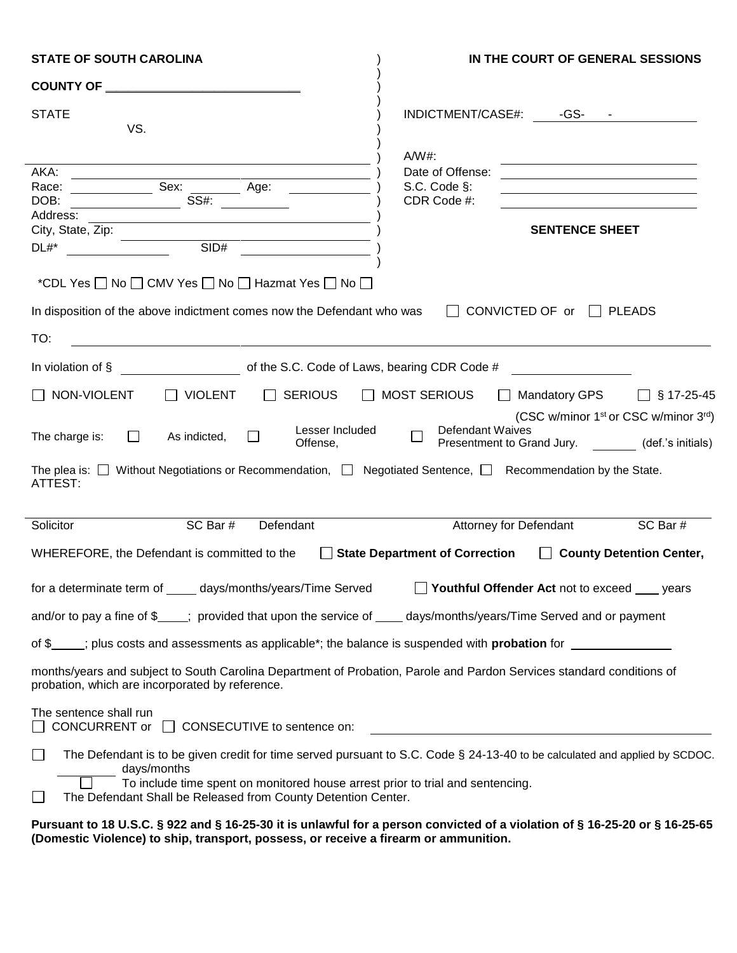| <b>STATE OF SOUTH CAROLINA</b>                                                                                                                                           | IN THE COURT OF GENERAL SESSIONS                                                                                                           |  |
|--------------------------------------------------------------------------------------------------------------------------------------------------------------------------|--------------------------------------------------------------------------------------------------------------------------------------------|--|
|                                                                                                                                                                          |                                                                                                                                            |  |
| <b>STATE</b><br>VS.                                                                                                                                                      | INDICTMENT/CASE#: -GS- -                                                                                                                   |  |
|                                                                                                                                                                          | $A/W#$ :                                                                                                                                   |  |
| AKA:                                                                                                                                                                     | Date of Offense:<br><u> 1989 - Jan Samuel Barbara, martin da shekara 1980 - An tsa a tsara 1980 - An tsa a tsa a tsa a tsa a tsa a tsa</u> |  |
|                                                                                                                                                                          | S.C. Code §:<br><u> 1989 - Johann Barn, amerikansk politiker (d. 1989)</u>                                                                 |  |
| DOB:                                                                                                                                                                     | CDR Code #:                                                                                                                                |  |
| Address: Andreas and the state of the state of the state of the state of the state of the state of the state o                                                           |                                                                                                                                            |  |
|                                                                                                                                                                          | <b>SENTENCE SHEET</b>                                                                                                                      |  |
| City, State, Zip:<br>DI $\#$ *                                                                                                                                           |                                                                                                                                            |  |
| *CDL Yes $\Box$ No $\Box$ CMV Yes $\Box$ No $\Box$ Hazmat Yes $\Box$ No $\Box$                                                                                           |                                                                                                                                            |  |
| In disposition of the above indictment comes now the Defendant who was                                                                                                   | $\Box$ CONVICTED OF or $\Box$ PLEADS                                                                                                       |  |
| TO:                                                                                                                                                                      |                                                                                                                                            |  |
| In violation of § 1.1 of the S.C. Code of Laws, bearing CDR Code #                                                                                                       |                                                                                                                                            |  |
| $\Box$ SERIOUS $\Box$ MOST SERIOUS<br>$\Box$ NON-VIOLENT<br>$\Box$ VIOLENT                                                                                               | $\Box$ Mandatory GPS $\Box$ § 17-25-45                                                                                                     |  |
| Lesser Included<br>The charge is:<br>As indicted,<br>$\Box$<br>Offense,                                                                                                  | (CSC w/minor 1 <sup>st</sup> or CSC w/minor 3rd)<br><b>Defendant Waives</b><br>$\Box$<br>Presentment to Grand Jury. (def.'s initials)      |  |
| The plea is: $\Box$ Without Negotiations or Recommendation, $\Box$ Negotiated Sentence, $\Box$ Recommendation by the State.<br>ATTEST:                                   |                                                                                                                                            |  |
| Solicitor<br>SC Bar #<br>Defendant                                                                                                                                       | SC Bar #<br><b>Attorney for Defendant</b>                                                                                                  |  |
| WHEREFORE, the Defendant is committed to the State Department of Correction County Detention Center,                                                                     |                                                                                                                                            |  |
| for a determinate term of _____ days/months/years/Time Served $\Box$ Youthful Offender Act not to exceed ____ years                                                      |                                                                                                                                            |  |
| and/or to pay a fine of \$; provided that upon the service of days/months/years/Time Served and or payment                                                               |                                                                                                                                            |  |
| of \$____; plus costs and assessments as applicable*; the balance is suspended with <b>probation</b> for ______________                                                  |                                                                                                                                            |  |
|                                                                                                                                                                          |                                                                                                                                            |  |
| months/years and subject to South Carolina Department of Probation, Parole and Pardon Services standard conditions of<br>probation, which are incorporated by reference. |                                                                                                                                            |  |
| The sentence shall run<br>CONCURRENT or $\Box$ CONSECUTIVE to sentence on:                                                                                               | <u>and the state of the state of the state of the state of the state of the state of the state of the state of th</u>                      |  |
| days/months                                                                                                                                                              | The Defendant is to be given credit for time served pursuant to S.C. Code § 24-13-40 to be calculated and applied by SCDOC.                |  |
| To include time spent on monitored house arrest prior to trial and sentencing.                                                                                           |                                                                                                                                            |  |
| The Defendant Shall be Released from County Detention Center.                                                                                                            |                                                                                                                                            |  |

**Pursuant to 18 U.S.C. § 922 and § 16-25-30 it is unlawful for a person convicted of a violation of § 16-25-20 or § 16-25-65 (Domestic Violence) to ship, transport, possess, or receive a firearm or ammunition.**